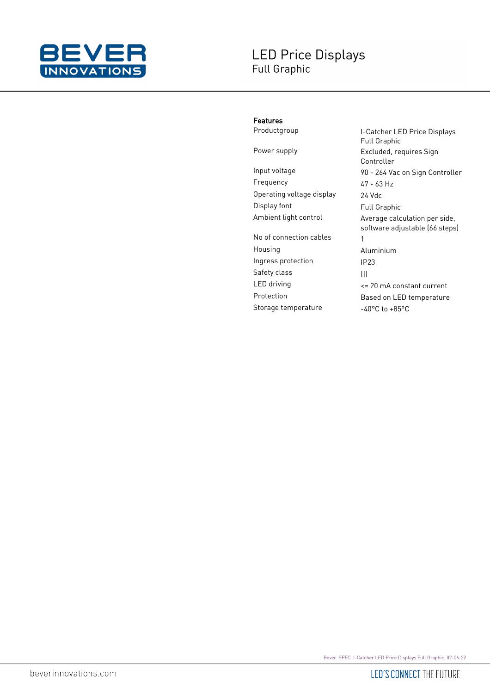

## Features

Frequency 47 - 63 Hz Operating voltage display 24 Vdc Display font Full Graphic

No of connection cables 1 Housing Aluminium Ingress protection IP23 Safety class and all all the same state of the same state of the same state of the same state of the same state Storage temperature -40°C to +85°C

Productgroup **I-Catcher LED Price Displays** Full Graphic Power supply **Excluded**, requires Sign Controller Input voltage 90 - 264 Vac on Sign Controller Ambient light control **Average calculation per side**, software adjustable (66 steps) LED driving <= 20 mA constant current Protection Based on LED temperature